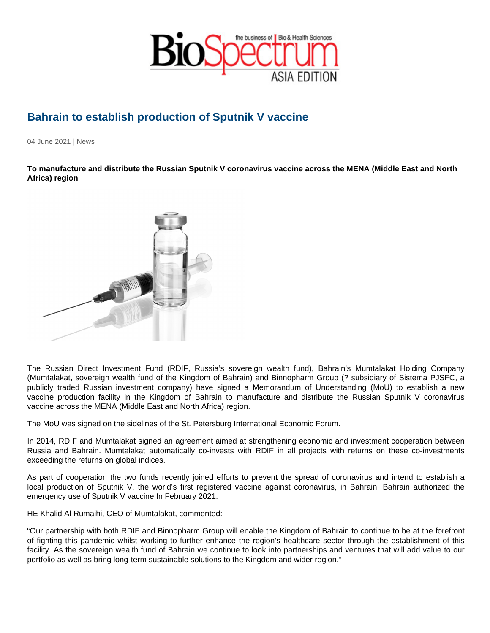## Bahrain to establish production of Sputnik V vaccine

04 June 2021 | News

To manufacture and distribute the Russian Sputnik V coronavirus vaccine across the MENA (Middle East and North Africa) region

The Russian Direct Investment Fund (RDIF, Russia's sovereign wealth fund), Bahrain's Mumtalakat Holding Company (Mumtalakat, sovereign wealth fund of the Kingdom of Bahrain) and Binnopharm Group (? subsidiary of Sistema PJSFC, a publicly traded Russian investment company) have signed a Memorandum of Understanding (MoU) to establish a new vaccine production facility in the Kingdom of Bahrain to manufacture and distribute the Russian Sputnik V coronavirus vaccine across the MENA (Middle East and North Africa) region.

The MoU was signed on the sidelines of the St. Petersburg International Economic Forum.

In 2014, RDIF and Mumtalakat signed an agreement aimed at strengthening economic and investment cooperation between Russia and Bahrain. Mumtalakat automatically co-invests with RDIF in all projects with returns on these co-investments exceeding the returns on global indices.

As part of cooperation the two funds recently joined efforts to prevent the spread of coronavirus and intend to establish a local production of Sputnik V, the world's first registered vaccine against coronavirus, in Bahrain. Bahrain authorized the emergency use of Sputnik V vaccine In February 2021.

HE Khalid Al Rumaihi, CEO of Mumtalakat, commented:

"Our partnership with both RDIF and Binnopharm Group will enable the Kingdom of Bahrain to continue to be at the forefront of fighting this pandemic whilst working to further enhance the region's healthcare sector through the establishment of this facility. As the sovereign wealth fund of Bahrain we continue to look into partnerships and ventures that will add value to our portfolio as well as bring long-term sustainable solutions to the Kingdom and wider region."